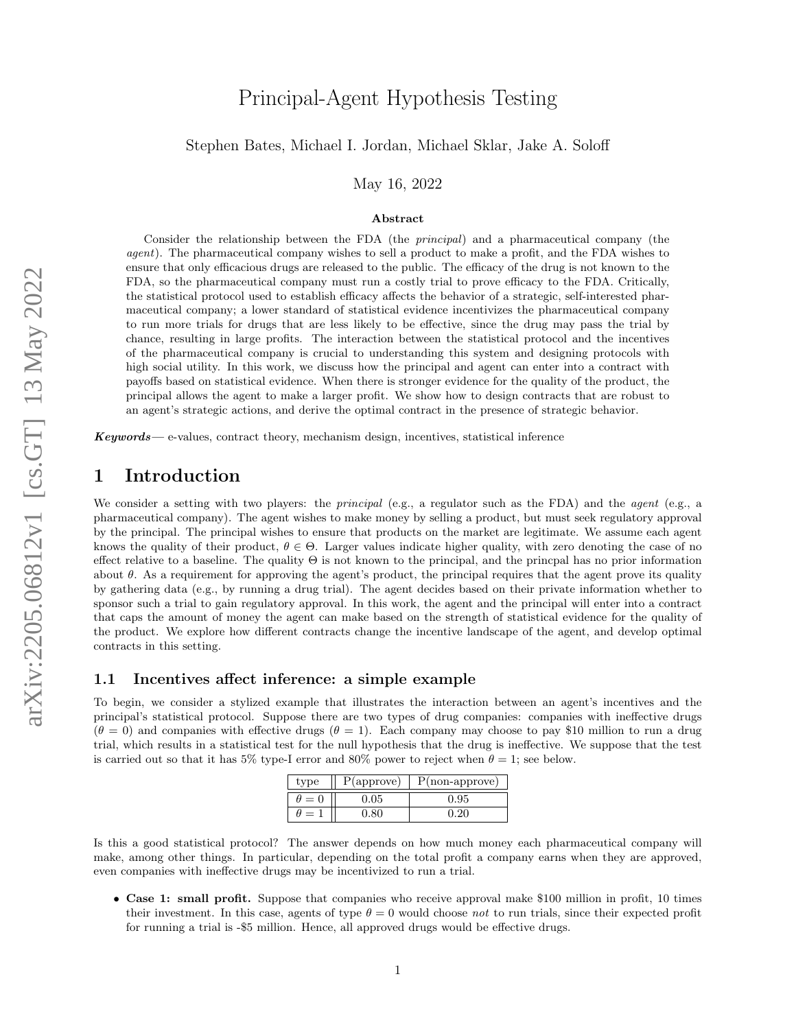# Principal-Agent Hypothesis Testing

### Stephen Bates, Michael I. Jordan, Michael Sklar, Jake A. Soloff

May 16, 2022

#### Abstract

Consider the relationship between the FDA (the principal) and a pharmaceutical company (the agent). The pharmaceutical company wishes to sell a product to make a profit, and the FDA wishes to ensure that only efficacious drugs are released to the public. The efficacy of the drug is not known to the FDA, so the pharmaceutical company must run a costly trial to prove efficacy to the FDA. Critically, the statistical protocol used to establish efficacy affects the behavior of a strategic, self-interested pharmaceutical company; a lower standard of statistical evidence incentivizes the pharmaceutical company to run more trials for drugs that are less likely to be effective, since the drug may pass the trial by chance, resulting in large profits. The interaction between the statistical protocol and the incentives of the pharmaceutical company is crucial to understanding this system and designing protocols with high social utility. In this work, we discuss how the principal and agent can enter into a contract with payoffs based on statistical evidence. When there is stronger evidence for the quality of the product, the principal allows the agent to make a larger profit. We show how to design contracts that are robust to an agent's strategic actions, and derive the optimal contract in the presence of strategic behavior.

 $Keywords$ — e-values, contract theory, mechanism design, incentives, statistical inference

## 1 Introduction

We consider a setting with two players: the *principal* (e.g., a regulator such as the FDA) and the *agent* (e.g., a pharmaceutical company). The agent wishes to make money by selling a product, but must seek regulatory approval by the principal. The principal wishes to ensure that products on the market are legitimate. We assume each agent knows the quality of their product,  $\theta \in \Theta$ . Larger values indicate higher quality, with zero denoting the case of no effect relative to a baseline. The quality  $\Theta$  is not known to the principal, and the princpal has no prior information about  $\theta$ . As a requirement for approving the agent's product, the principal requires that the agent prove its quality by gathering data (e.g., by running a drug trial). The agent decides based on their private information whether to sponsor such a trial to gain regulatory approval. In this work, the agent and the principal will enter into a contract that caps the amount of money the agent can make based on the strength of statistical evidence for the quality of the product. We explore how different contracts change the incentive landscape of the agent, and develop optimal contracts in this setting.

### <span id="page-0-0"></span>1.1 Incentives affect inference: a simple example

To begin, we consider a stylized example that illustrates the interaction between an agent's incentives and the principal's statistical protocol. Suppose there are two types of drug companies: companies with ineffective drugs  $(\theta = 0)$  and companies with effective drugs  $(\theta = 1)$ . Each company may choose to pay \$10 million to run a drug trial, which results in a statistical test for the null hypothesis that the drug is ineffective. We suppose that the test is carried out so that it has 5% type-I error and 80% power to reject when  $\theta = 1$ ; see below.

| type         | $P(\text{approx})$ | $P($ non-approve $)$ |
|--------------|--------------------|----------------------|
| $\theta = 0$ | 0.05               | 0.95                 |
| $\prime = 1$ |                    | 0.20                 |

Is this a good statistical protocol? The answer depends on how much money each pharmaceutical company will make, among other things. In particular, depending on the total profit a company earns when they are approved, even companies with ineffective drugs may be incentivized to run a trial.

• Case 1: small profit. Suppose that companies who receive approval make \$100 million in profit, 10 times their investment. In this case, agents of type  $\theta = 0$  would choose not to run trials, since their expected profit for running a trial is -\$5 million. Hence, all approved drugs would be effective drugs.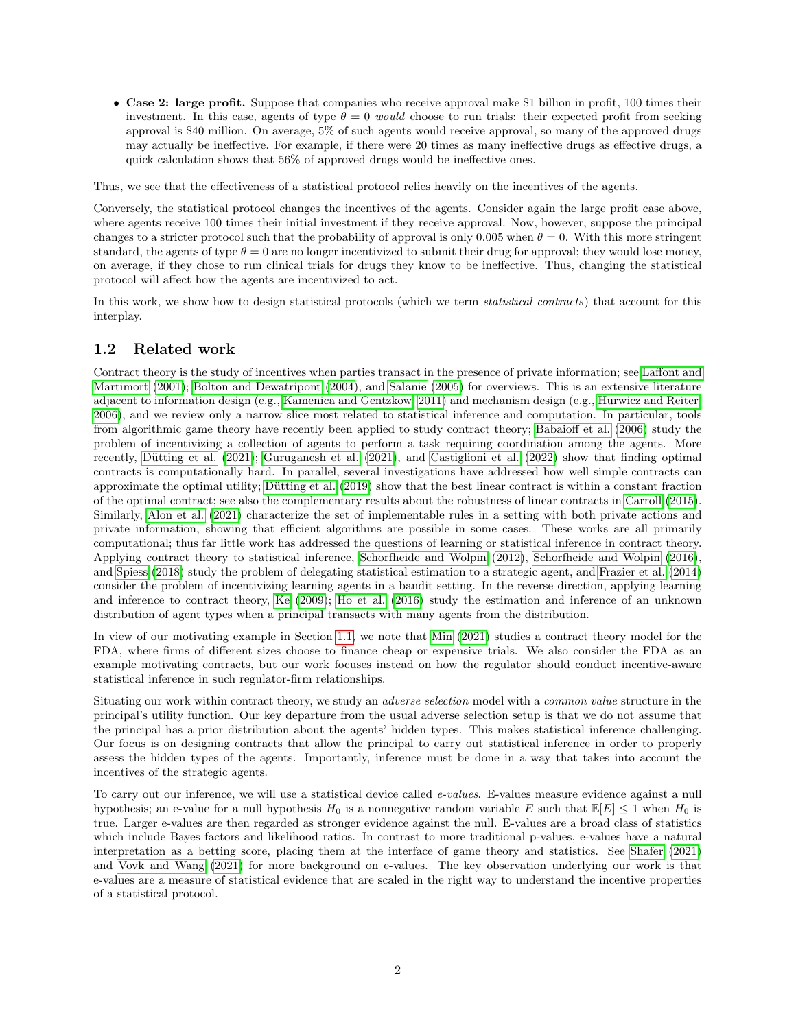• Case 2: large profit. Suppose that companies who receive approval make \$1 billion in profit, 100 times their investment. In this case, agents of type  $\theta = 0$  would choose to run trials: their expected profit from seeking approval is \$40 million. On average, 5% of such agents would receive approval, so many of the approved drugs may actually be ineffective. For example, if there were 20 times as many ineffective drugs as effective drugs, a quick calculation shows that 56% of approved drugs would be ineffective ones.

Thus, we see that the effectiveness of a statistical protocol relies heavily on the incentives of the agents.

Conversely, the statistical protocol changes the incentives of the agents. Consider again the large profit case above, where agents receive 100 times their initial investment if they receive approval. Now, however, suppose the principal changes to a stricter protocol such that the probability of approval is only 0.005 when  $\theta = 0$ . With this more stringent standard, the agents of type  $\theta = 0$  are no longer incentivized to submit their drug for approval; they would lose money, on average, if they chose to run clinical trials for drugs they know to be ineffective. Thus, changing the statistical protocol will affect how the agents are incentivized to act.

In this work, we show how to design statistical protocols (which we term *statistical contracts*) that account for this interplay.

## <span id="page-1-0"></span>1.2 Related work

Contract theory is the study of incentives when parties transact in the presence of private information; see [Laffont and](#page-10-0) [Martimort](#page-10-0) [\(2001\)](#page-10-0); [Bolton and Dewatripont](#page-10-1) [\(2004\)](#page-10-1), and [Salanie](#page-11-0) [\(2005\)](#page-11-0) for overviews. This is an extensive literature adjacent to information design (e.g., [Kamenica and Gentzkow, 2011\)](#page-10-2) and mechanism design (e.g., [Hurwicz and Reiter,](#page-10-3) [2006\)](#page-10-3), and we review only a narrow slice most related to statistical inference and computation. In particular, tools from algorithmic game theory have recently been applied to study contract theory; [Babaioff et al.](#page-10-4) [\(2006\)](#page-10-4) study the problem of incentivizing a collection of agents to perform a task requiring coordination among the agents. More recently, Dütting et al. [\(2021\)](#page-10-6); [Guruganesh et al.](#page-10-6) (2021), and [Castiglioni et al.](#page-10-7) [\(2022\)](#page-10-7) show that finding optimal contracts is computationally hard. In parallel, several investigations have addressed how well simple contracts can approximate the optimal utility; Dütting et al. [\(2019\)](#page-10-8) show that the best linear contract is within a constant fraction of the optimal contract; see also the complementary results about the robustness of linear contracts in [Carroll](#page-10-9) [\(2015\)](#page-10-9). Similarly, [Alon et al.](#page-10-10) [\(2021\)](#page-10-10) characterize the set of implementable rules in a setting with both private actions and private information, showing that efficient algorithms are possible in some cases. These works are all primarily computational; thus far little work has addressed the questions of learning or statistical inference in contract theory. Applying contract theory to statistical inference, [Schorfheide and Wolpin](#page-11-1) [\(2012\)](#page-11-1), [Schorfheide and Wolpin](#page-11-2) [\(2016\)](#page-11-2), and [Spiess](#page-11-3) [\(2018\)](#page-11-3) study the problem of delegating statistical estimation to a strategic agent, and [Frazier et al.](#page-10-11) [\(2014\)](#page-10-11) consider the problem of incentivizing learning agents in a bandit setting. In the reverse direction, applying learning and inference to contract theory, [Ke](#page-10-12) [\(2009\)](#page-10-12); [Ho et al.](#page-10-13) [\(2016\)](#page-10-13) study the estimation and inference of an unknown distribution of agent types when a principal transacts with many agents from the distribution.

In view of our motivating example in Section [1.1,](#page-0-0) we note that [Min](#page-11-4) [\(2021\)](#page-11-4) studies a contract theory model for the FDA, where firms of different sizes choose to finance cheap or expensive trials. We also consider the FDA as an example motivating contracts, but our work focuses instead on how the regulator should conduct incentive-aware statistical inference in such regulator-firm relationships.

Situating our work within contract theory, we study an adverse selection model with a common value structure in the principal's utility function. Our key departure from the usual adverse selection setup is that we do not assume that the principal has a prior distribution about the agents' hidden types. This makes statistical inference challenging. Our focus is on designing contracts that allow the principal to carry out statistical inference in order to properly assess the hidden types of the agents. Importantly, inference must be done in a way that takes into account the incentives of the strategic agents.

To carry out our inference, we will use a statistical device called e-values. E-values measure evidence against a null hypothesis; an e-value for a null hypothesis  $H_0$  is a nonnegative random variable E such that  $\mathbb{E}[E] \leq 1$  when  $H_0$  is true. Larger e-values are then regarded as stronger evidence against the null. E-values are a broad class of statistics which include Bayes factors and likelihood ratios. In contrast to more traditional p-values, e-values have a natural interpretation as a betting score, placing them at the interface of game theory and statistics. See [Shafer](#page-11-5) [\(2021\)](#page-11-5) and [Vovk and Wang](#page-11-6) [\(2021\)](#page-11-6) for more background on e-values. The key observation underlying our work is that e-values are a measure of statistical evidence that are scaled in the right way to understand the incentive properties of a statistical protocol.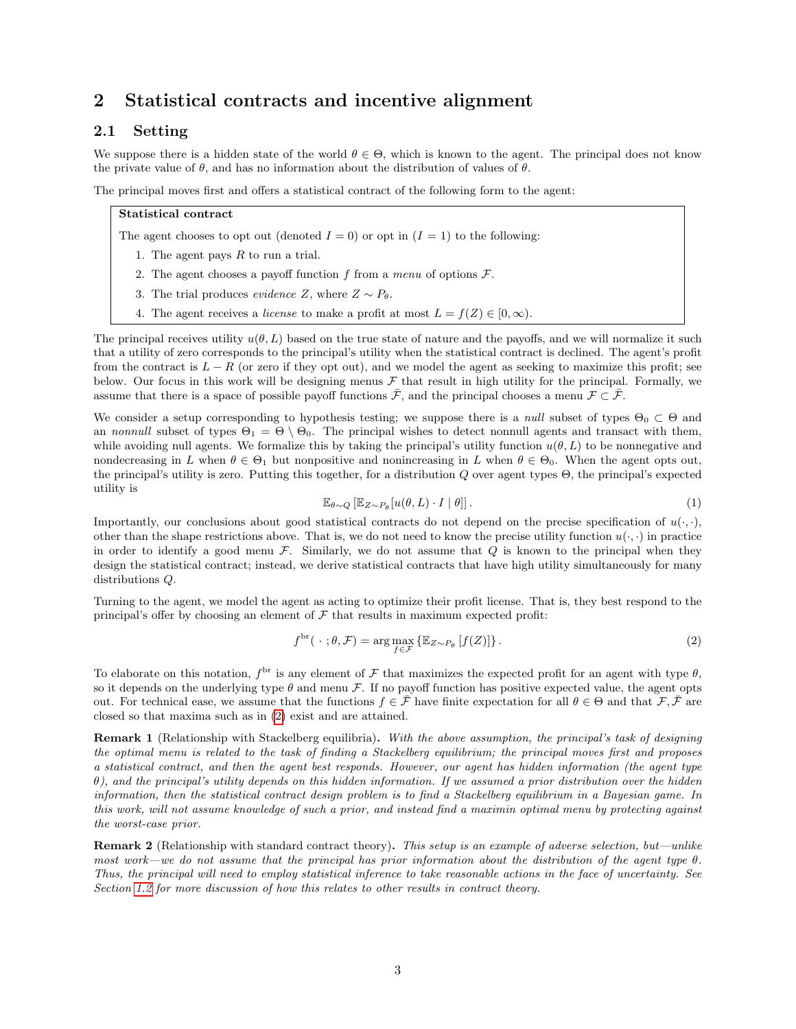## 2 Statistical contracts and incentive alignment

## <span id="page-2-1"></span>2.1 Setting

We suppose there is a hidden state of the world  $\theta \in \Theta$ , which is known to the agent. The principal does not know the private value of  $\theta$ , and has no information about the distribution of values of  $\theta$ .

The principal moves first and offers a statistical contract of the following form to the agent:

#### Statistical contract

The agent chooses to opt out (denoted  $I = 0$ ) or opt in  $(I = 1)$  to the following:

- 1. The agent pays  $R$  to run a trial.
- 2. The agent chooses a payoff function f from a menu of options  $\mathcal{F}$ .
- 3. The trial produces *evidence* Z, where  $Z \sim P_{\theta}$ .
- 4. The agent receives a *license* to make a profit at most  $L = f(Z) \in [0, \infty)$ .

The principal receives utility  $u(\theta, L)$  based on the true state of nature and the payoffs, and we will normalize it such that a utility of zero corresponds to the principal's utility when the statistical contract is declined. The agent's profit from the contract is  $L - R$  (or zero if they opt out), and we model the agent as seeking to maximize this profit; see below. Our focus in this work will be designing menus  $\mathcal F$  that result in high utility for the principal. Formally, we assume that there is a space of possible payoff functions  $\bar{\mathcal{F}}$ , and the principal chooses a menu  $\mathcal{F} \subset \bar{\mathcal{F}}$ .

We consider a setup corresponding to hypothesis testing; we suppose there is a *null* subset of types  $\Theta_0 \subset \Theta$  and an nonnull subset of types  $\Theta_1 = \Theta \setminus \Theta_0$ . The principal wishes to detect nonnull agents and transact with them, while avoiding null agents. We formalize this by taking the principal's utility function  $u(\theta, L)$  to be nonnegative and nondecreasing in L when  $\theta \in \Theta_1$  but nonpositive and nonincreasing in L when  $\theta \in \Theta_0$ . When the agent opts out, the principal's utility is zero. Putting this together, for a distribution Q over agent types Θ, the principal's expected utility is

<span id="page-2-2"></span><span id="page-2-0"></span>
$$
\mathbb{E}_{\theta \sim Q} \left[ \mathbb{E}_{Z \sim P_{\theta}} [u(\theta, L) \cdot I \mid \theta] \right]. \tag{1}
$$

Importantly, our conclusions about good statistical contracts do not depend on the precise specification of  $u(\cdot, \cdot)$ , other than the shape restrictions above. That is, we do not need to know the precise utility function  $u(\cdot, \cdot)$  in practice in order to identify a good menu  $\mathcal F$ . Similarly, we do not assume that  $Q$  is known to the principal when they design the statistical contract; instead, we derive statistical contracts that have high utility simultaneously for many distributions Q.

Turning to the agent, we model the agent as acting to optimize their profit license. That is, they best respond to the principal's offer by choosing an element of  $\mathcal F$  that results in maximum expected profit:

$$
f^{\text{br}}(\cdot ; \theta, \mathcal{F}) = \arg \max_{f \in \mathcal{F}} \{ \mathbb{E}_{Z \sim P_{\theta}} \left[ f(Z) \right] \}.
$$
 (2)

To elaborate on this notation,  $f^{\text{br}}$  is any element of F that maximizes the expected profit for an agent with type  $\theta$ , so it depends on the underlying type  $\theta$  and menu  $\mathcal F$ . If no payoff function has positive expected value, the agent opts out. For technical ease, we assume that the functions  $f \in \bar{\mathcal{F}}$  have finite expectation for all  $\theta \in \Theta$  and that  $\mathcal{F}, \bar{\mathcal{F}}$  are closed so that maxima such as in [\(2\)](#page-2-0) exist and are attained.

Remark 1 (Relationship with Stackelberg equilibria). With the above assumption, the principal's task of designing the optimal menu is related to the task of finding a Stackelberg equilibrium; the principal moves first and proposes a statistical contract, and then the agent best responds. However, our agent has hidden information (the agent type  $\theta$ ), and the principal's utility depends on this hidden information. If we assumed a prior distribution over the hidden information, then the statistical contract design problem is to find a Stackelberg equilibrium in a Bayesian game. In this work, will not assume knowledge of such a prior, and instead find a maximin optimal menu by protecting against the worst-case prior.

Remark 2 (Relationship with standard contract theory). This setup is an example of adverse selection, but—unlike most work—we do not assume that the principal has prior information about the distribution of the agent type  $\theta$ . Thus, the principal will need to employ statistical inference to take reasonable actions in the face of uncertainty. See Section [1.2](#page-1-0) for more discussion of how this relates to other results in contract theory.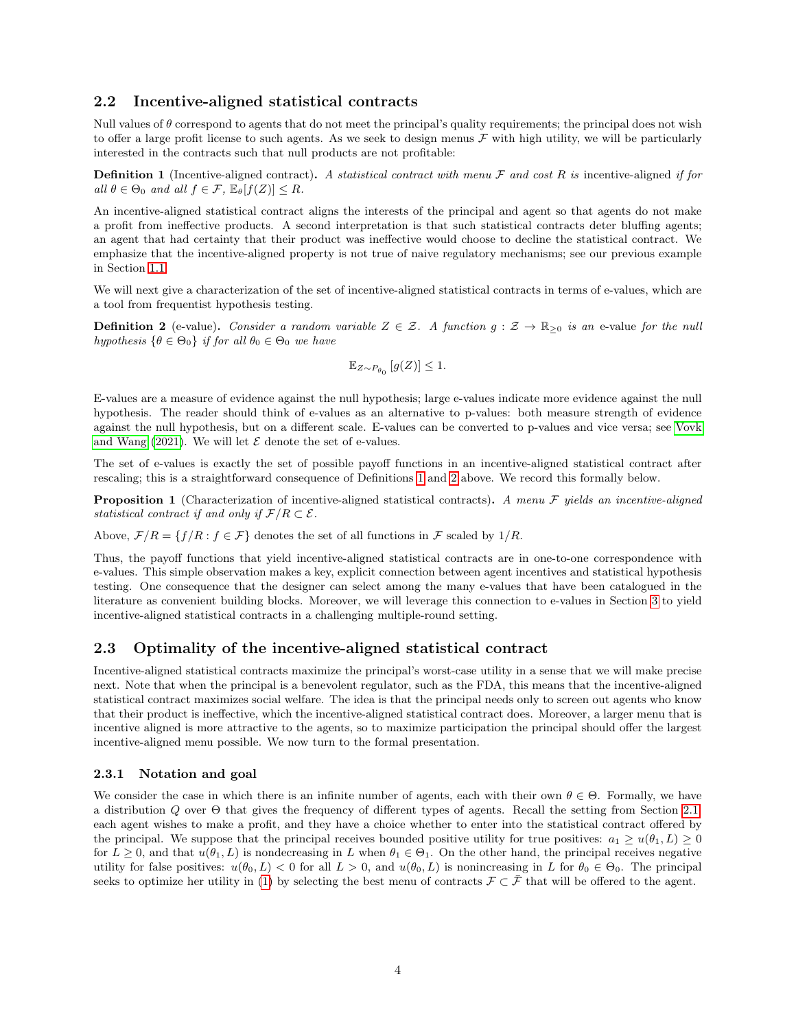## 2.2 Incentive-aligned statistical contracts

Null values of  $\theta$  correspond to agents that do not meet the principal's quality requirements; the principal does not wish to offer a large profit license to such agents. As we seek to design menus  $\mathcal F$  with high utility, we will be particularly interested in the contracts such that null products are not profitable:

<span id="page-3-0"></span>**Definition 1** (Incentive-aligned contract). A statistical contract with menu  $\mathcal F$  and cost  $R$  is incentive-aligned if for all  $\theta \in \Theta_0$  and all  $f \in \mathcal{F}$ ,  $\mathbb{E}_{\theta}[f(Z)] \leq R$ .

An incentive-aligned statistical contract aligns the interests of the principal and agent so that agents do not make a profit from ineffective products. A second interpretation is that such statistical contracts deter bluffing agents; an agent that had certainty that their product was ineffective would choose to decline the statistical contract. We emphasize that the incentive-aligned property is not true of naive regulatory mechanisms; see our previous example in Section [1.1.](#page-0-0)

We will next give a characterization of the set of incentive-aligned statistical contracts in terms of e-values, which are a tool from frequentist hypothesis testing.

<span id="page-3-1"></span>**Definition 2** (e-value). Consider a random variable  $Z \in \mathcal{Z}$ . A function  $g: \mathcal{Z} \to \mathbb{R}_{\geq 0}$  is an e-value for the null hypothesis  $\{\theta \in \Theta_0\}$  if for all  $\theta_0 \in \Theta_0$  we have

$$
\mathbb{E}_{Z \sim P_{\theta_0}}\left[g(Z)\right] \le 1.
$$

E-values are a measure of evidence against the null hypothesis; large e-values indicate more evidence against the null hypothesis. The reader should think of e-values as an alternative to p-values: both measure strength of evidence against the null hypothesis, but on a different scale. E-values can be converted to p-values and vice versa; see [Vovk](#page-11-6) [and Wang](#page-11-6) [\(2021\)](#page-11-6). We will let  $\mathcal E$  denote the set of e-values.

The set of e-values is exactly the set of possible payoff functions in an incentive-aligned statistical contract after rescaling; this is a straightforward consequence of Definitions [1](#page-3-0) and [2](#page-3-1) above. We record this formally below.

<span id="page-3-2"></span>**Proposition 1** (Characterization of incentive-aligned statistical contracts). A menu  $\mathcal F$  yields an incentive-aligned statistical contract if and only if  $\mathcal{F}/R \subset \mathcal{E}$ .

Above,  $\mathcal{F}/R = \{f/R : f \in \mathcal{F}\}\$ denotes the set of all functions in  $\mathcal{F}$  scaled by  $1/R$ .

Thus, the payoff functions that yield incentive-aligned statistical contracts are in one-to-one correspondence with e-values. This simple observation makes a key, explicit connection between agent incentives and statistical hypothesis testing. One consequence that the designer can select among the many e-values that have been catalogued in the literature as convenient building blocks. Moreover, we will leverage this connection to e-values in Section [3](#page-6-0) to yield incentive-aligned statistical contracts in a challenging multiple-round setting.

## 2.3 Optimality of the incentive-aligned statistical contract

Incentive-aligned statistical contracts maximize the principal's worst-case utility in a sense that we will make precise next. Note that when the principal is a benevolent regulator, such as the FDA, this means that the incentive-aligned statistical contract maximizes social welfare. The idea is that the principal needs only to screen out agents who know that their product is ineffective, which the incentive-aligned statistical contract does. Moreover, a larger menu that is incentive aligned is more attractive to the agents, so to maximize participation the principal should offer the largest incentive-aligned menu possible. We now turn to the formal presentation.

#### 2.3.1 Notation and goal

We consider the case in which there is an infinite number of agents, each with their own  $\theta \in \Theta$ . Formally, we have a distribution Q over  $\Theta$  that gives the frequency of different types of agents. Recall the setting from Section [2.1:](#page-2-1) each agent wishes to make a profit, and they have a choice whether to enter into the statistical contract offered by the principal. We suppose that the principal receives bounded positive utility for true positives:  $a_1 \geq u(\theta_1, L) \geq 0$ for  $L \geq 0$ , and that  $u(\theta_1, L)$  is nondecreasing in L when  $\theta_1 \in \Theta_1$ . On the other hand, the principal receives negative utility for false positives:  $u(\theta_0, L) < 0$  for all  $L > 0$ , and  $u(\theta_0, L)$  is nonincreasing in L for  $\theta_0 \in \Theta_0$ . The principal seeks to optimize her utility in [\(1\)](#page-2-2) by selecting the best menu of contracts  $\mathcal{F} \subset \overline{\mathcal{F}}$  that will be offered to the agent.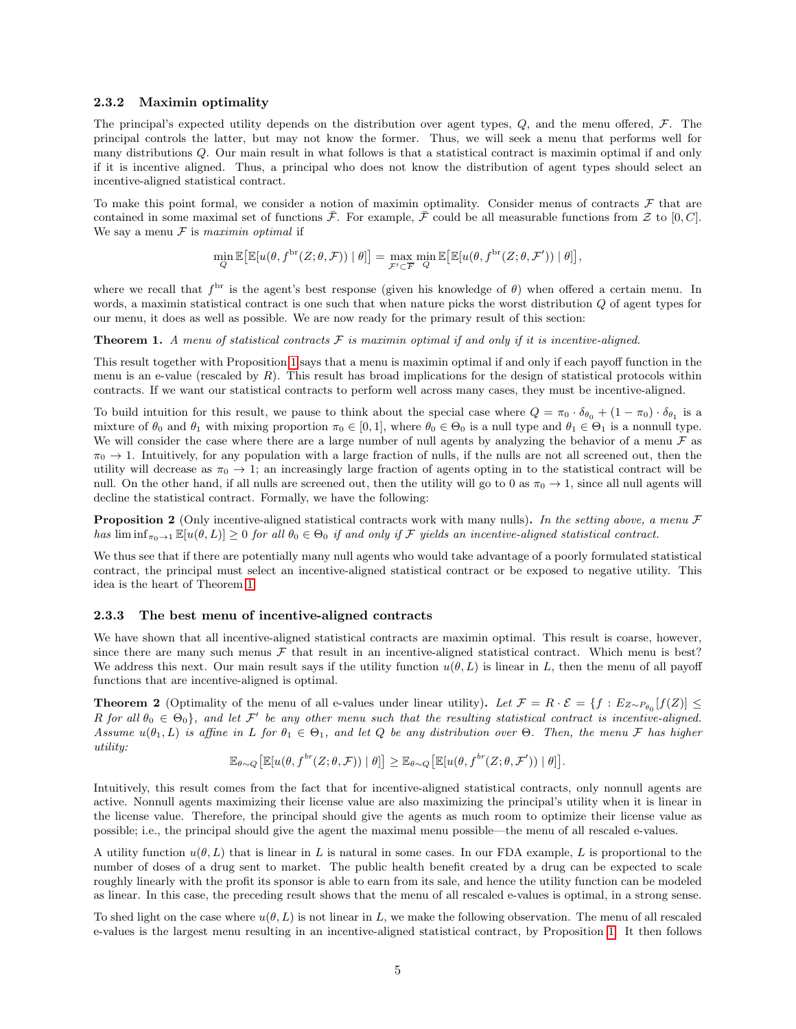#### 2.3.2 Maximin optimality

The principal's expected utility depends on the distribution over agent types,  $Q$ , and the menu offered,  $\mathcal{F}$ . The principal controls the latter, but may not know the former. Thus, we will seek a menu that performs well for many distributions Q. Our main result in what follows is that a statistical contract is maximin optimal if and only if it is incentive aligned. Thus, a principal who does not know the distribution of agent types should select an incentive-aligned statistical contract.

To make this point formal, we consider a notion of maximin optimality. Consider menus of contracts  $\mathcal F$  that are contained in some maximal set of functions  $\bar{\mathcal{F}}$ . For example,  $\bar{\mathcal{F}}$  could be all measurable functions from  $\mathcal{Z}$  to [0, C]. We say a menu  $F$  is maximin optimal if

$$
\min_{Q} \mathbb{E}\big[\mathbb{E}[u(\theta, f^{\text{br}}(Z; \theta, \mathcal{F})) | \theta]\big] = \max_{\mathcal{F}' \subset \overline{F}} \min_{Q} \mathbb{E}\big[\mathbb{E}[u(\theta, f^{\text{br}}(Z; \theta, \mathcal{F}')) | \theta]\big],
$$

where we recall that  $f<sup>br</sup>$  is the agent's best response (given his knowledge of  $\theta$ ) when offered a certain menu. In words, a maximin statistical contract is one such that when nature picks the worst distribution Q of agent types for our menu, it does as well as possible. We are now ready for the primary result of this section:

<span id="page-4-0"></span>**Theorem 1.** A menu of statistical contracts  $\mathcal F$  is maximin optimal if and only if it is incentive-aligned.

This result together with Proposition [1](#page-3-2) says that a menu is maximin optimal if and only if each payoff function in the menu is an e-value (rescaled by  $R$ ). This result has broad implications for the design of statistical protocols within contracts. If we want our statistical contracts to perform well across many cases, they must be incentive-aligned.

To build intuition for this result, we pause to think about the special case where  $Q = \pi_0 \cdot \delta_{\theta_0} + (1 - \pi_0) \cdot \delta_{\theta_1}$  is a mixture of  $\theta_0$  and  $\theta_1$  with mixing proportion  $\pi_0 \in [0, 1]$ , where  $\theta_0 \in \Theta_0$  is a null type and  $\theta_1 \in \Theta_1$  is a nonnull type. We will consider the case where there are a large number of null agents by analyzing the behavior of a menu  $\mathcal F$  as  $\pi_0 \to 1$ . Intuitively, for any population with a large fraction of nulls, if the nulls are not all screened out, then the utility will decrease as  $\pi_0 \to 1$ ; an increasingly large fraction of agents opting in to the statistical contract will be null. On the other hand, if all nulls are screened out, then the utility will go to 0 as  $\pi_0 \to 1$ , since all null agents will decline the statistical contract. Formally, we have the following:

<span id="page-4-1"></span>**Proposition 2** (Only incentive-aligned statistical contracts work with many nulls). In the setting above, a menu  $\mathcal F$ has lim inf $\pi_{n\to1} \mathbb{E}[u(\theta, L)] \geq 0$  for all  $\theta_0 \in \Theta_0$  if and only if F yields an incentive-aligned statistical contract.

We thus see that if there are potentially many null agents who would take advantage of a poorly formulated statistical contract, the principal must select an incentive-aligned statistical contract or be exposed to negative utility. This idea is the heart of Theorem [1.](#page-4-0)

#### 2.3.3 The best menu of incentive-aligned contracts

We have shown that all incentive-aligned statistical contracts are maximin optimal. This result is coarse, however, since there are many such menus  $\mathcal F$  that result in an incentive-aligned statistical contract. Which menu is best? We address this next. Our main result says if the utility function  $u(\theta, L)$  is linear in L, then the menu of all payoff functions that are incentive-aligned is optimal.

<span id="page-4-2"></span>**Theorem 2** (Optimality of the menu of all e-values under linear utility). Let  $\mathcal{F} = R \cdot \mathcal{E} = \{f : E_{Z \sim P_{\theta_0}}[f(Z)] \leq$ R for all  $\theta_0 \in \Theta_0$ , and let F' be any other menu such that the resulting statistical contract is incentive-aligned. Assume  $u(\theta_1, L)$  is affine in L for  $\theta_1 \in \Theta_1$ , and let Q be any distribution over  $\Theta$ . Then, the menu F has higher utility:

$$
\mathbb{E}_{\theta \sim Q} \left[ \mathbb{E} [u(\theta, f^{br}(Z; \theta, \mathcal{F})) | \theta] \right] \geq \mathbb{E}_{\theta \sim Q} \left[ \mathbb{E} [u(\theta, f^{br}(Z; \theta, \mathcal{F}')) | \theta] \right].
$$

Intuitively, this result comes from the fact that for incentive-aligned statistical contracts, only nonnull agents are active. Nonnull agents maximizing their license value are also maximizing the principal's utility when it is linear in the license value. Therefore, the principal should give the agents as much room to optimize their license value as possible; i.e., the principal should give the agent the maximal menu possible—the menu of all rescaled e-values.

A utility function  $u(\theta, L)$  that is linear in L is natural in some cases. In our FDA example, L is proportional to the number of doses of a drug sent to market. The public health benefit created by a drug can be expected to scale roughly linearly with the profit its sponsor is able to earn from its sale, and hence the utility function can be modeled as linear. In this case, the preceding result shows that the menu of all rescaled e-values is optimal, in a strong sense.

To shed light on the case where  $u(\theta, L)$  is not linear in L, we make the following observation. The menu of all rescaled e-values is the largest menu resulting in an incentive-aligned statistical contract, by Proposition [1.](#page-3-2) It then follows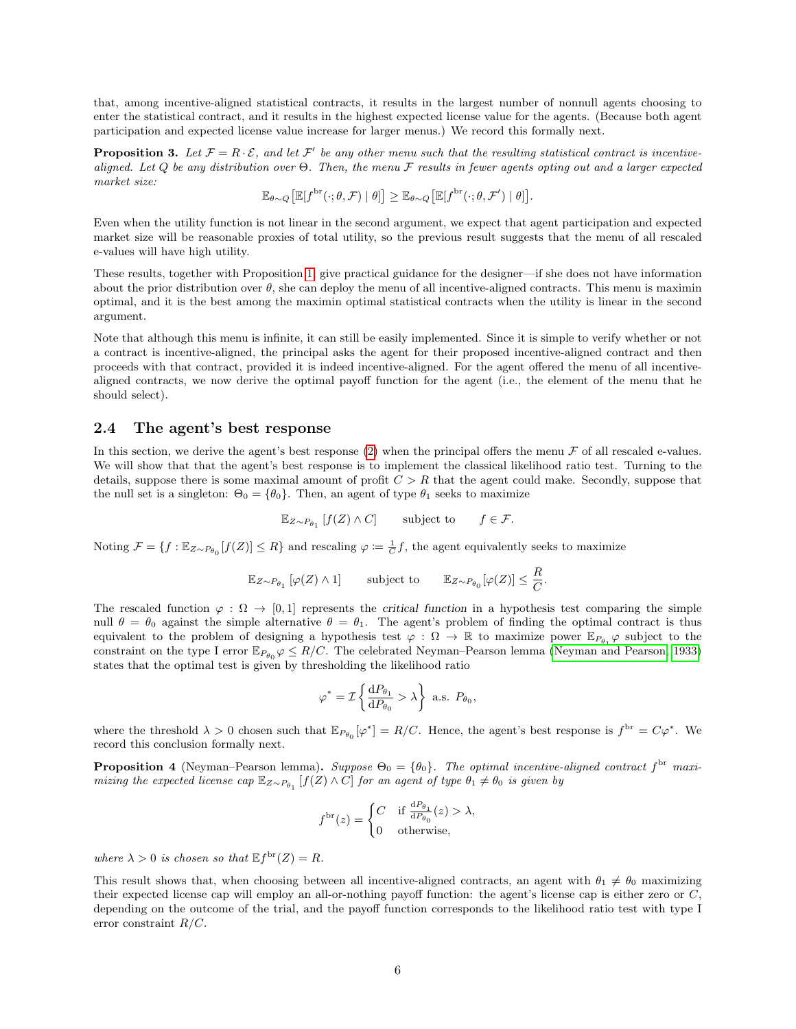that, among incentive-aligned statistical contracts, it results in the largest number of nonnull agents choosing to enter the statistical contract, and it results in the highest expected license value for the agents. (Because both agent participation and expected license value increase for larger menus.) We record this formally next.

<span id="page-5-1"></span>**Proposition 3.** Let  $\mathcal{F} = R \cdot \mathcal{E}$ , and let  $\mathcal{F}'$  be any other menu such that the resulting statistical contract is incentivealigned. Let Q be any distribution over  $\Theta$ . Then, the menu F results in fewer agents opting out and a larger expected market size:

$$
\mathbb{E}_{\theta \sim Q} \left[ \mathbb{E} [f^{\text{br}}(\cdot; \theta, \mathcal{F}) | \theta] \right] \geq \mathbb{E}_{\theta \sim Q} \left[ \mathbb{E} [f^{\text{br}}(\cdot; \theta, \mathcal{F}') | \theta] \right].
$$

Even when the utility function is not linear in the second argument, we expect that agent participation and expected market size will be reasonable proxies of total utility, so the previous result suggests that the menu of all rescaled e-values will have high utility.

These results, together with Proposition [1,](#page-4-0) give practical guidance for the designer—if she does not have information about the prior distribution over  $\theta$ , she can deploy the menu of all incentive-aligned contracts. This menu is maximin optimal, and it is the best among the maximin optimal statistical contracts when the utility is linear in the second argument.

Note that although this menu is infinite, it can still be easily implemented. Since it is simple to verify whether or not a contract is incentive-aligned, the principal asks the agent for their proposed incentive-aligned contract and then proceeds with that contract, provided it is indeed incentive-aligned. For the agent offered the menu of all incentivealigned contracts, we now derive the optimal payoff function for the agent (i.e., the element of the menu that he should select).

### <span id="page-5-2"></span>2.4 The agent's best response

In this section, we derive the agent's best response  $(2)$  when the principal offers the menu  $\mathcal F$  of all rescaled e-values. We will show that that the agent's best response is to implement the classical likelihood ratio test. Turning to the details, suppose there is some maximal amount of profit  $C > R$  that the agent could make. Secondly, suppose that the null set is a singleton:  $\Theta_0 = {\theta_0}$ . Then, an agent of type  $\theta_1$  seeks to maximize

$$
\mathbb{E}_{Z \sim P_{\theta_1}}[f(Z) \wedge C] \qquad \text{subject to} \qquad f \in \mathcal{F}.
$$

Noting  $\mathcal{F} = \{f : \mathbb{E}_{Z \sim P_{\theta_0}}[f(Z)] \leq R\}$  and rescaling  $\varphi := \frac{1}{C}f$ , the agent equivalently seeks to maximize

$$
\mathbb{E}_{Z \sim P_{\theta_1}} \left[ \varphi(Z) \wedge 1 \right] \qquad \text{subject to} \qquad \mathbb{E}_{Z \sim P_{\theta_0}}[\varphi(Z)] \leq \frac{R}{C}.
$$

The rescaled function  $\varphi : \Omega \to [0,1]$  represents the critical function in a hypothesis test comparing the simple null  $\theta = \theta_0$  against the simple alternative  $\theta = \theta_1$ . The agent's problem of finding the optimal contract is thus equivalent to the problem of designing a hypothesis test  $\varphi : \Omega \to \mathbb{R}$  to maximize power  $\mathbb{E}_{P_{\theta_1}} \varphi$  subject to the constraint on the type I error  $\mathbb{E}_{P_{\theta_0}}\varphi \leq R/C$ . The celebrated Neyman–Pearson lemma [\(Neyman and Pearson, 1933\)](#page-11-7) states that the optimal test is given by thresholding the likelihood ratio

$$
\varphi^* = \mathcal{I} \left\{ \frac{\mathrm{d}P_{\theta_1}}{\mathrm{d}P_{\theta_0}} > \lambda \right\} \text{ a.s. } P_{\theta_0},
$$

where the threshold  $\lambda > 0$  chosen such that  $\mathbb{E}_{P_{\theta_0}}[\varphi^*]=R/C$ . Hence, the agent's best response is  $f^{\text{br}}=C\varphi^*$ . We record this conclusion formally next.

<span id="page-5-0"></span>**Proposition 4** (Neyman–Pearson lemma). Suppose  $\Theta_0 = \{\theta_0\}$ . The optimal incentive-aligned contract  $f^{\text{br}}$  maximizing the expected license cap  $\mathbb{E}_{Z\sim P_{\theta_1}}[f(Z)\wedge C]$  for an agent of type  $\theta_1\neq\theta_0$  is given by

$$
f^{\text{br}}(z) = \begin{cases} C & \text{if } \frac{\text{d}P_{\theta_1}}{\text{d}P_{\theta_0}}(z) > \lambda, \\ 0 & \text{otherwise,} \end{cases}
$$

where  $\lambda > 0$  is chosen so that  $\mathbb{E} f^{\text{br}}(Z) = R$ .

This result shows that, when choosing between all incentive-aligned contracts, an agent with  $\theta_1 \neq \theta_0$  maximizing their expected license cap will employ an all-or-nothing payoff function: the agent's license cap is either zero or C, depending on the outcome of the trial, and the payoff function corresponds to the likelihood ratio test with type I error constraint  $R/C$ .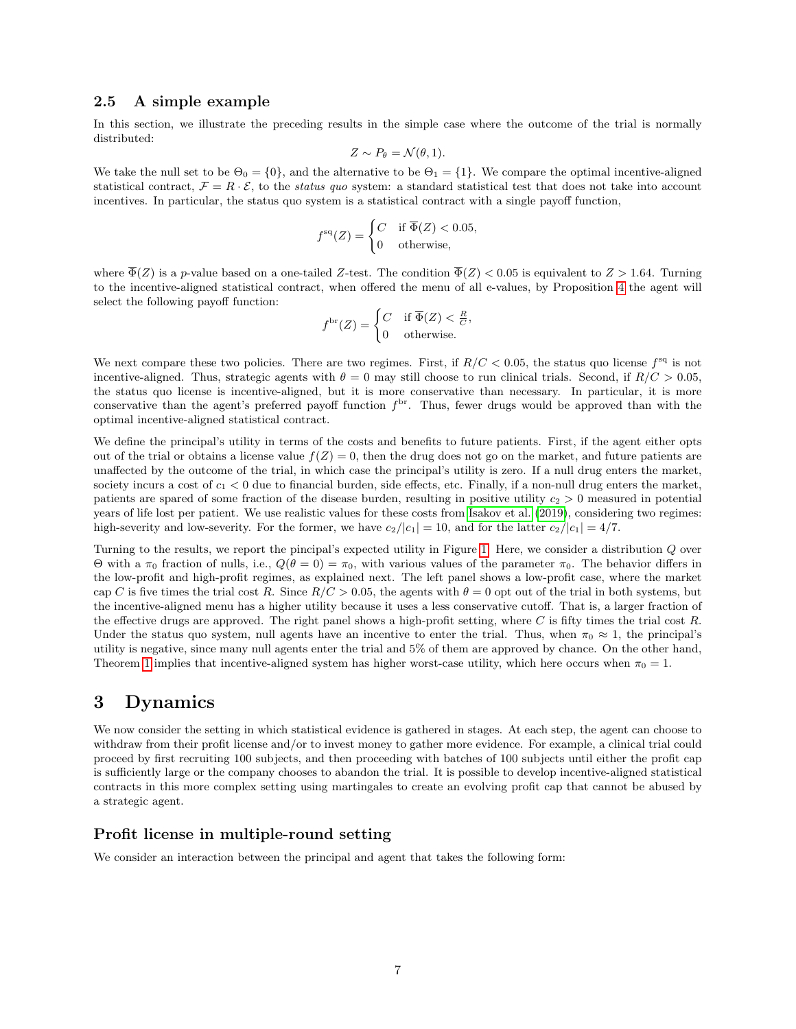### 2.5 A simple example

In this section, we illustrate the preceding results in the simple case where the outcome of the trial is normally distributed:

$$
Z \sim P_{\theta} = \mathcal{N}(\theta, 1).
$$

We take the null set to be  $\Theta_0 = \{0\}$ , and the alternative to be  $\Theta_1 = \{1\}$ . We compare the optimal incentive-aligned statistical contract,  $\mathcal{F} = R \cdot \mathcal{E}$ , to the status quo system: a standard statistical test that does not take into account incentives. In particular, the status quo system is a statistical contract with a single payoff function,

$$
f^{\text{sq}}(Z) = \begin{cases} C & \text{if } \overline{\Phi}(Z) < 0.05, \\ 0 & \text{otherwise,} \end{cases}
$$

where  $\overline{\Phi}(Z)$  is a p-value based on a one-tailed Z-test. The condition  $\overline{\Phi}(Z) < 0.05$  is equivalent to  $Z > 1.64$ . Turning to the incentive-aligned statistical contract, when offered the menu of all e-values, by Proposition [4](#page-5-0) the agent will select the following payoff function:

$$
f^{\text{br}}(Z) = \begin{cases} C & \text{if } \overline{\Phi}(Z) < \frac{R}{C}, \\ 0 & \text{otherwise.} \end{cases}
$$

We next compare these two policies. There are two regimes. First, if  $R/C < 0.05$ , the status quo license  $f^{\text{sq}}$  is not incentive-aligned. Thus, strategic agents with  $\theta = 0$  may still choose to run clinical trials. Second, if  $R/C > 0.05$ , the status quo license is incentive-aligned, but it is more conservative than necessary. In particular, it is more conservative than the agent's preferred payoff function  $f<sup>br</sup>$ . Thus, fewer drugs would be approved than with the optimal incentive-aligned statistical contract.

We define the principal's utility in terms of the costs and benefits to future patients. First, if the agent either opts out of the trial or obtains a license value  $f(Z) = 0$ , then the drug does not go on the market, and future patients are unaffected by the outcome of the trial, in which case the principal's utility is zero. If a null drug enters the market, society incurs a cost of  $c_1 < 0$  due to financial burden, side effects, etc. Finally, if a non-null drug enters the market, patients are spared of some fraction of the disease burden, resulting in positive utility  $c_2 > 0$  measured in potential years of life lost per patient. We use realistic values for these costs from [Isakov et al.](#page-10-14) [\(2019\)](#page-10-14), considering two regimes: high-severity and low-severity. For the former, we have  $c_2/|c_1| = 10$ , and for the latter  $c_2/|c_1| = 4/7$ .

Turning to the results, we report the pincipal's expected utility in Figure [1.](#page-7-0) Here, we consider a distribution Q over Θ with a π<sub>0</sub> fraction of nulls, i.e.,  $Q(\theta = 0) = \pi_0$ , with various values of the parameter π<sub>0</sub>. The behavior differs in the low-profit and high-profit regimes, as explained next. The left panel shows a low-profit case, where the market cap C is five times the trial cost R. Since  $R/C > 0.05$ , the agents with  $\theta = 0$  opt out of the trial in both systems, but the incentive-aligned menu has a higher utility because it uses a less conservative cutoff. That is, a larger fraction of the effective drugs are approved. The right panel shows a high-profit setting, where  $C$  is fifty times the trial cost  $R$ . Under the status quo system, null agents have an incentive to enter the trial. Thus, when  $\pi_0 \approx 1$ , the principal's utility is negative, since many null agents enter the trial and 5% of them are approved by chance. On the other hand, Theorem [1](#page-4-0) implies that incentive-aligned system has higher worst-case utility, which here occurs when  $\pi_0 = 1$ .

## <span id="page-6-0"></span>3 Dynamics

We now consider the setting in which statistical evidence is gathered in stages. At each step, the agent can choose to withdraw from their profit license and/or to invest money to gather more evidence. For example, a clinical trial could proceed by first recruiting 100 subjects, and then proceeding with batches of 100 subjects until either the profit cap is sufficiently large or the company chooses to abandon the trial. It is possible to develop incentive-aligned statistical contracts in this more complex setting using martingales to create an evolving profit cap that cannot be abused by a strategic agent.

### Profit license in multiple-round setting

We consider an interaction between the principal and agent that takes the following form: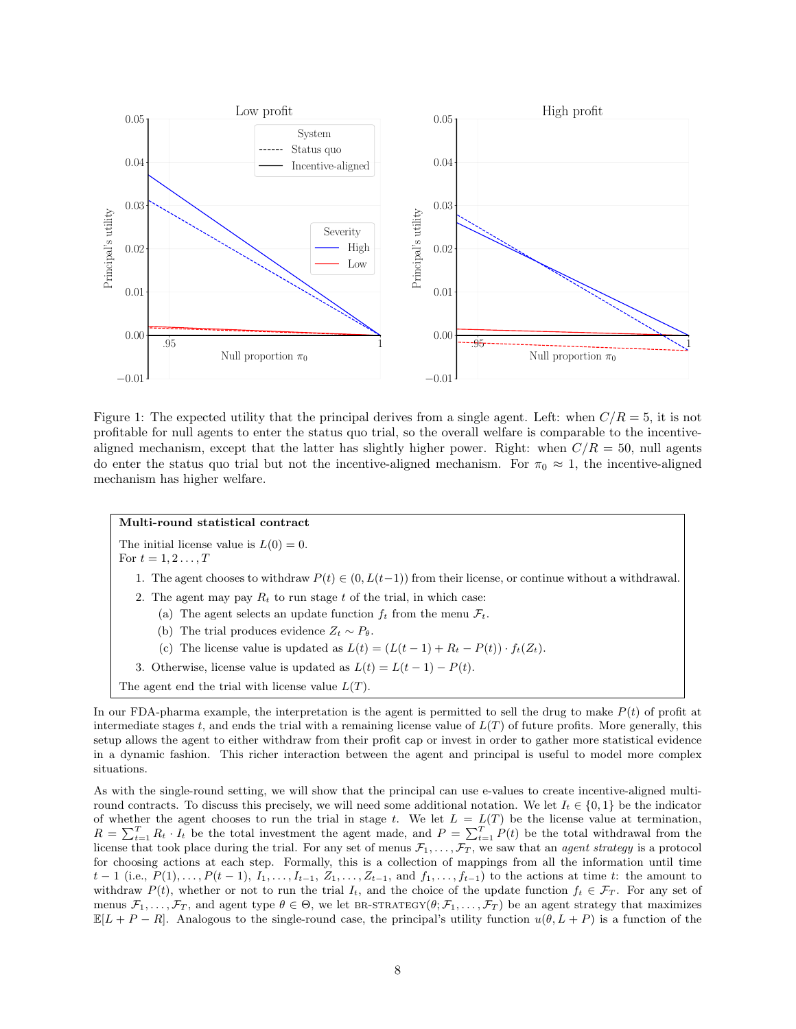<span id="page-7-0"></span>

Figure 1: The expected utility that the principal derives from a single agent. Left: when  $C/R = 5$ , it is not profitable for null agents to enter the status quo trial, so the overall welfare is comparable to the incentivealigned mechanism, except that the latter has slightly higher power. Right: when  $C/R = 50$ , null agents do enter the status quo trial but not the incentive-aligned mechanism. For  $\pi_0 \approx 1$ , the incentive-aligned mechanism has higher welfare.

#### Multi-round statistical contract

The initial license value is  $L(0) = 0$ . For  $t = 1, 2, ..., T$ 

- 1. The agent chooses to withdraw  $P(t) \in (0, L(t-1))$  from their license, or continue without a withdrawal.
- 2. The agent may pay  $R_t$  to run stage t of the trial, in which case:
	- (a) The agent selects an update function  $f_t$  from the menu  $\mathcal{F}_t$ .
	- (b) The trial produces evidence  $Z_t \sim P_\theta$ .
	- (c) The license value is updated as  $L(t) = (L(t-1) + R_t P(t)) \cdot f_t(Z_t)$ .
- 3. Otherwise, license value is updated as  $L(t) = L(t-1) P(t)$ .
- The agent end the trial with license value  $L(T)$ .

In our FDA-pharma example, the interpretation is the agent is permitted to sell the drug to make  $P(t)$  of profit at intermediate stages t, and ends the trial with a remaining license value of  $L(T)$  of future profits. More generally, this setup allows the agent to either withdraw from their profit cap or invest in order to gather more statistical evidence in a dynamic fashion. This richer interaction between the agent and principal is useful to model more complex situations.

As with the single-round setting, we will show that the principal can use e-values to create incentive-aligned multiround contracts. To discuss this precisely, we will need some additional notation. We let  $I_t \in \{0, 1\}$  be the indicator of whether the agent chooses to run the trial in stage t. We let  $L = L(T)$  be the license value at termination,  $R = \sum_{t=1}^{T} R_t \cdot I_t$  be the total investment the agent made, and  $P = \sum_{t=1}^{T} P(t)$  be the total withdrawal from the license that took place during the trial. For any set of menus  $\mathcal{F}_1,\ldots,\mathcal{F}_T$ , we saw that an *agent strategy* is a protocol for choosing actions at each step. Formally, this is a collection of mappings from all the information until time  $t-1$  (i.e.,  $P(1), \ldots, P(t-1), I_1, \ldots, I_{t-1}, Z_1, \ldots, Z_{t-1},$  and  $f_1, \ldots, f_{t-1}$ ) to the actions at time t: the amount to withdraw  $P(t)$ , whether or not to run the trial  $I_t$ , and the choice of the update function  $f_t \in \mathcal{F}_T$ . For any set of menus  $\mathcal{F}_1, \ldots, \mathcal{F}_T$ , and agent type  $\theta \in \Theta$ , we let BR-STRATEGY $(\theta; \mathcal{F}_1, \ldots, \mathcal{F}_T)$  be an agent strategy that maximizes  $\mathbb{E}[L + P - R]$ . Analogous to the single-round case, the principal's utility function  $u(\theta, L + P)$  is a function of the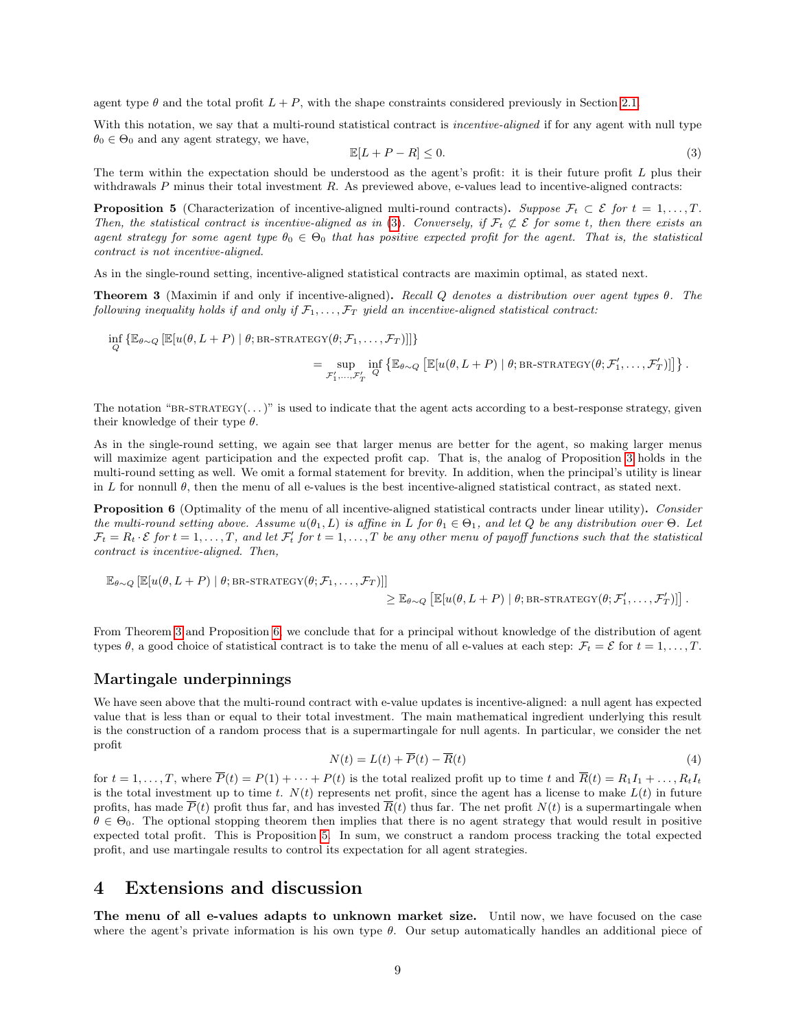agent type  $\theta$  and the total profit  $L + P$ , with the shape constraints considered previously in Section [2.1.](#page-2-1)

With this notation, we say that a multi-round statistical contract is *incentive-aligned* if for any agent with null type  $\theta_0 \in \Theta_0$  and any agent strategy, we have,

<span id="page-8-0"></span>
$$
\mathbb{E}[L+P-R] \le 0. \tag{3}
$$

The term within the expectation should be understood as the agent's profit: it is their future profit  $L$  plus their withdrawals  $P$  minus their total investment  $R$ . As previewed above, e-values lead to incentive-aligned contracts:

<span id="page-8-3"></span>**Proposition 5** (Characterization of incentive-aligned multi-round contracts). Suppose  $\mathcal{F}_t \subset \mathcal{E}$  for  $t = 1, \ldots, T$ . Then, the statistical contract is incentive-aligned as in [\(3\)](#page-8-0). Conversely, if  $\mathcal{F}_t \not\subset \mathcal{E}$  for some t, then there exists an agent strategy for some agent type  $\theta_0 \in \Theta_0$  that has positive expected profit for the agent. That is, the statistical contract is not incentive-aligned.

As in the single-round setting, incentive-aligned statistical contracts are maximin optimal, as stated next.

<span id="page-8-1"></span>**Theorem 3** (Maximin if and only if incentive-aligned). Recall Q denotes a distribution over agent types  $\theta$ . The following inequality holds if and only if  $F_1, \ldots, F_T$  yield an incentive-aligned statistical contract:

$$
\inf_{Q} \left\{ \mathbb{E}_{\theta \sim Q} \left[ \mathbb{E}[u(\theta, L + P) \mid \theta; \text{BR-STATEGY}(\theta; \mathcal{F}_1, \dots, \mathcal{F}_T)] \right] \right\}
$$
\n
$$
= \sup_{\mathcal{F}'_1, \dots, \mathcal{F}'_T} \inf_{Q} \left\{ \mathbb{E}[u(\theta, L + P) \mid \theta; \text{BR-STATEGY}(\theta; \mathcal{F}'_1, \dots, \mathcal{F}'_T)] \right\}.
$$

The notation "BR-STRATEGY $(\dots)$ " is used to indicate that the agent acts according to a best-response strategy, given their knowledge of their type  $\theta$ .

As in the single-round setting, we again see that larger menus are better for the agent, so making larger menus will maximize agent participation and the expected profit cap. That is, the analog of Proposition [3](#page-5-1) holds in the multi-round setting as well. We omit a formal statement for brevity. In addition, when the principal's utility is linear in L for nonnull  $\theta$ , then the menu of all e-values is the best incentive-aligned statistical contract, as stated next.

<span id="page-8-2"></span>Proposition 6 (Optimality of the menu of all incentive-aligned statistical contracts under linear utility). Consider the multi-round setting above. Assume  $u(\theta_1, L)$  is affine in L for  $\theta_1 \in \Theta_1$ , and let Q be any distribution over  $\Theta$ . Let  $\mathcal{F}_t = R_t \cdot \mathcal{E}$  for  $t = 1, \ldots, T$ , and let  $\mathcal{F}'_t$  for  $t = 1, \ldots, T$  be any other menu of payoff functions such that the statistical contract is incentive-aligned. Then,

$$
\mathbb{E}_{\theta \sim Q} [\mathbb{E}[u(\theta, L + P) | \theta; BR\text{-STRATEGY}(\theta; \mathcal{F}_1, \dots, \mathcal{F}_T)]]
$$
  
\n
$$
\geq \mathbb{E}_{\theta \sim Q} [\mathbb{E}[u(\theta, L + P) | \theta; BR\text{-STRATEGY}(\theta; \mathcal{F}'_1, \dots, \mathcal{F}'_T)]] .
$$

From Theorem [3](#page-8-1) and Proposition [6,](#page-8-2) we conclude that for a principal without knowledge of the distribution of agent types  $\theta$ , a good choice of statistical contract is to take the menu of all e-values at each step:  $\mathcal{F}_t = \mathcal{E}$  for  $t = 1, \ldots, T$ .

### Martingale underpinnings

We have seen above that the multi-round contract with e-value updates is incentive-aligned: a null agent has expected value that is less than or equal to their total investment. The main mathematical ingredient underlying this result is the construction of a random process that is a supermartingale for null agents. In particular, we consider the net profit

<span id="page-8-4"></span>
$$
N(t) = L(t) + \overline{P}(t) - \overline{R}(t)
$$
\n<sup>(4)</sup>

for  $t = 1, \ldots, T$ , where  $\overline{P}(t) = P(1) + \cdots + P(t)$  is the total realized profit up to time t and  $\overline{R}(t) = R_1I_1 + \ldots + R_tI_t$ is the total investment up to time t.  $N(t)$  represents net profit, since the agent has a license to make  $L(t)$  in future profits, has made  $\overline{P}(t)$  profit thus far, and has invested  $\overline{R}(t)$  thus far. The net profit  $N(t)$  is a supermartingale when  $\theta \in \Theta_0$ . The optional stopping theorem then implies that there is no agent strategy that would result in positive expected total profit. This is Proposition [5.](#page-8-3) In sum, we construct a random process tracking the total expected profit, and use martingale results to control its expectation for all agent strategies.

## 4 Extensions and discussion

The menu of all e-values adapts to unknown market size. Until now, we have focused on the case where the agent's private information is his own type  $\theta$ . Our setup automatically handles an additional piece of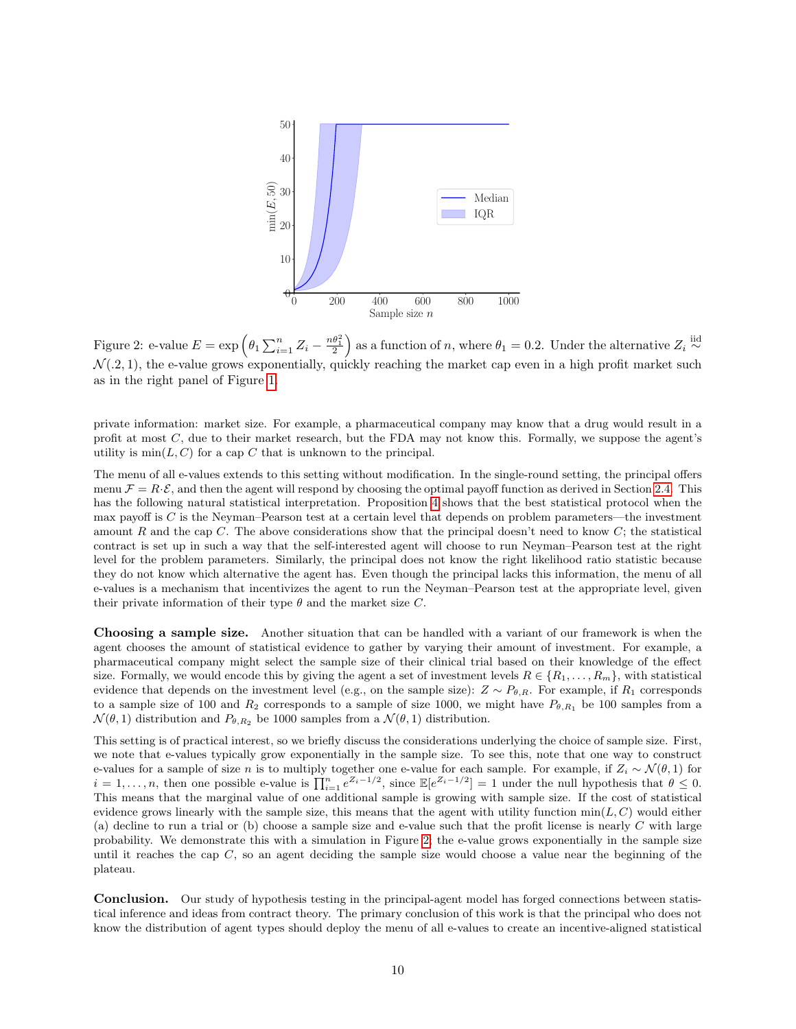<span id="page-9-0"></span>

Figure 2: e-value  $E = \exp \left(\theta_1 \sum_{i=1}^n Z_i - \frac{n\theta_1^2}{2}\right)$  as a function of n, where  $\theta_1 = 0.2$ . Under the alternative  $Z_i \stackrel{\text{iid}}{\sim}$  $\mathcal{N}(0.2, 1)$ , the e-value grows exponentially, quickly reaching the market cap even in a high profit market such as in the right panel of Figure [1.](#page-7-0)

private information: market size. For example, a pharmaceutical company may know that a drug would result in a profit at most C, due to their market research, but the FDA may not know this. Formally, we suppose the agent's utility is  $\min(L, C)$  for a cap C that is unknown to the principal.

The menu of all e-values extends to this setting without modification. In the single-round setting, the principal offers menu  $\mathcal{F} = R \cdot \mathcal{E}$ , and then the agent will respond by choosing the optimal payoff function as derived in Section [2.4.](#page-5-2) This has the following natural statistical interpretation. Proposition [4](#page-5-0) shows that the best statistical protocol when the max payoff is C is the Neyman–Pearson test at a certain level that depends on problem parameters—the investment amount R and the cap C. The above considerations show that the principal doesn't need to know  $C$ ; the statistical contract is set up in such a way that the self-interested agent will choose to run Neyman–Pearson test at the right level for the problem parameters. Similarly, the principal does not know the right likelihood ratio statistic because they do not know which alternative the agent has. Even though the principal lacks this information, the menu of all e-values is a mechanism that incentivizes the agent to run the Neyman–Pearson test at the appropriate level, given their private information of their type  $\theta$  and the market size C.

Choosing a sample size. Another situation that can be handled with a variant of our framework is when the agent chooses the amount of statistical evidence to gather by varying their amount of investment. For example, a pharmaceutical company might select the sample size of their clinical trial based on their knowledge of the effect size. Formally, we would encode this by giving the agent a set of investment levels  $R \in \{R_1, \ldots, R_m\}$ , with statistical evidence that depends on the investment level (e.g., on the sample size):  $Z \sim P_{\theta,R}$ . For example, if  $R_1$  corresponds to a sample size of 100 and  $R_2$  corresponds to a sample of size 1000, we might have  $P_{\theta,R_1}$  be 100 samples from a  $\mathcal{N}(\theta, 1)$  distribution and  $P_{\theta, R_2}$  be 1000 samples from a  $\mathcal{N}(\theta, 1)$  distribution.

This setting is of practical interest, so we briefly discuss the considerations underlying the choice of sample size. First, we note that e-values typically grow exponentially in the sample size. To see this, note that one way to construct e-values for a sample of size n is to multiply together one e-value for each sample. For example, if  $Z_i \sim \mathcal{N}(\theta, 1)$  for  $i = 1, \ldots, n$ , then one possible e-value is  $\prod_{i=1}^{n} e^{Z_i - 1/2}$ , since  $\mathbb{E}[e^{Z_i - 1/2}] = 1$  under the null hypothesis that  $\theta \leq 0$ . This means that the marginal value of one additional sample is growing with sample size. If the cost of statistical evidence grows linearly with the sample size, this means that the agent with utility function  $min(L, C)$  would either (a) decline to run a trial or (b) choose a sample size and e-value such that the profit license is nearly  $C$  with large probability. We demonstrate this with a simulation in Figure [2;](#page-9-0) the e-value grows exponentially in the sample size until it reaches the cap  $C$ , so an agent deciding the sample size would choose a value near the beginning of the plateau.

Conclusion. Our study of hypothesis testing in the principal-agent model has forged connections between statistical inference and ideas from contract theory. The primary conclusion of this work is that the principal who does not know the distribution of agent types should deploy the menu of all e-values to create an incentive-aligned statistical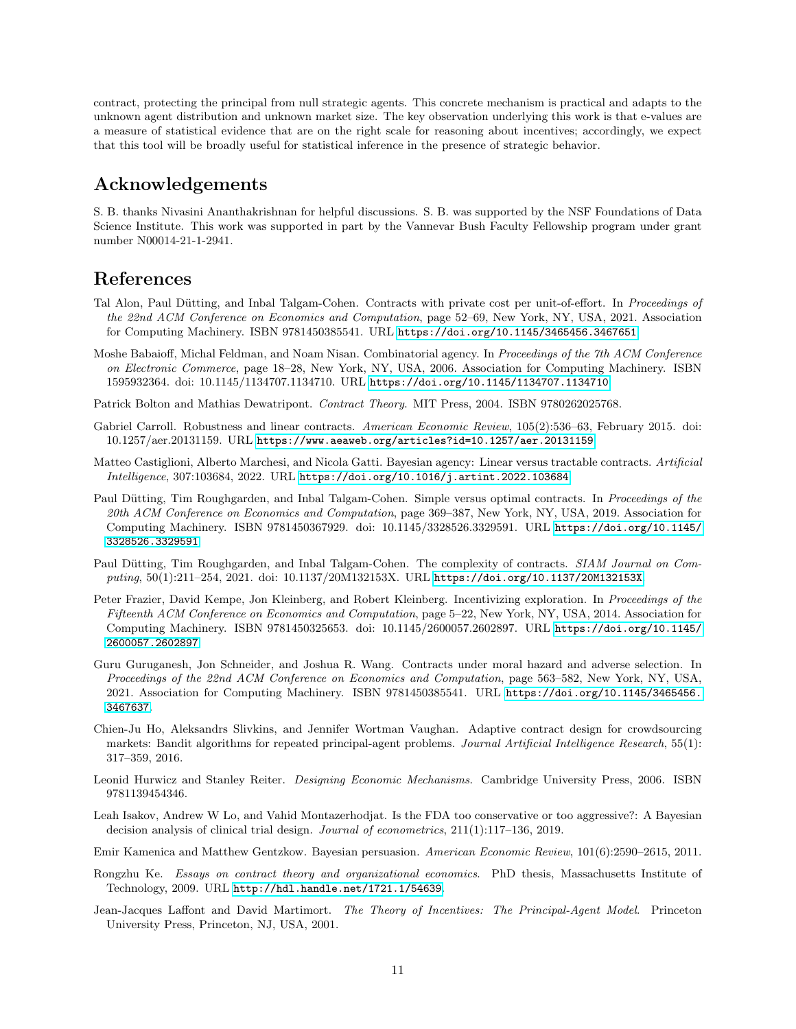contract, protecting the principal from null strategic agents. This concrete mechanism is practical and adapts to the unknown agent distribution and unknown market size. The key observation underlying this work is that e-values are a measure of statistical evidence that are on the right scale for reasoning about incentives; accordingly, we expect that this tool will be broadly useful for statistical inference in the presence of strategic behavior.

## Acknowledgements

S. B. thanks Nivasini Ananthakrishnan for helpful discussions. S. B. was supported by the NSF Foundations of Data Science Institute. This work was supported in part by the Vannevar Bush Faculty Fellowship program under grant number N00014-21-1-2941.

## References

- <span id="page-10-10"></span>Tal Alon, Paul Dütting, and Inbal Talgam-Cohen. Contracts with private cost per unit-of-effort. In Proceedings of the 22nd ACM Conference on Economics and Computation, page 52–69, New York, NY, USA, 2021. Association for Computing Machinery. ISBN 9781450385541. URL <https://doi.org/10.1145/3465456.3467651>.
- <span id="page-10-4"></span>Moshe Babaioff, Michal Feldman, and Noam Nisan. Combinatorial agency. In Proceedings of the 7th ACM Conference on Electronic Commerce, page 18–28, New York, NY, USA, 2006. Association for Computing Machinery. ISBN 1595932364. doi: 10.1145/1134707.1134710. URL <https://doi.org/10.1145/1134707.1134710>.
- <span id="page-10-1"></span>Patrick Bolton and Mathias Dewatripont. Contract Theory. MIT Press, 2004. ISBN 9780262025768.
- <span id="page-10-9"></span>Gabriel Carroll. Robustness and linear contracts. American Economic Review, 105(2):536–63, February 2015. doi: 10.1257/aer.20131159. URL <https://www.aeaweb.org/articles?id=10.1257/aer.20131159>.
- <span id="page-10-7"></span>Matteo Castiglioni, Alberto Marchesi, and Nicola Gatti. Bayesian agency: Linear versus tractable contracts. Artificial Intelligence, 307:103684, 2022. URL <https://doi.org/10.1016/j.artint.2022.103684>.
- <span id="page-10-8"></span>Paul Dütting, Tim Roughgarden, and Inbal Talgam-Cohen. Simple versus optimal contracts. In Proceedings of the 20th ACM Conference on Economics and Computation, page 369–387, New York, NY, USA, 2019. Association for Computing Machinery. ISBN 9781450367929. doi: 10.1145/3328526.3329591. URL [https://doi.org/10.1145/](https://doi.org/10.1145/3328526.3329591) [3328526.3329591](https://doi.org/10.1145/3328526.3329591).
- <span id="page-10-5"></span>Paul Dütting, Tim Roughgarden, and Inbal Talgam-Cohen. The complexity of contracts. SIAM Journal on Computing, 50(1):211–254, 2021. doi: 10.1137/20M132153X. URL <https://doi.org/10.1137/20M132153X>.
- <span id="page-10-11"></span>Peter Frazier, David Kempe, Jon Kleinberg, and Robert Kleinberg. Incentivizing exploration. In Proceedings of the Fifteenth ACM Conference on Economics and Computation, page 5–22, New York, NY, USA, 2014. Association for Computing Machinery. ISBN 9781450325653. doi: 10.1145/2600057.2602897. URL [https://doi.org/10.1145/](https://doi.org/10.1145/2600057.2602897) [2600057.2602897](https://doi.org/10.1145/2600057.2602897).
- <span id="page-10-6"></span>Guru Guruganesh, Jon Schneider, and Joshua R. Wang. Contracts under moral hazard and adverse selection. In Proceedings of the 22nd ACM Conference on Economics and Computation, page 563–582, New York, NY, USA, 2021. Association for Computing Machinery. ISBN 9781450385541. URL [https://doi.org/10.1145/3465456.](https://doi.org/10.1145/3465456.3467637) [3467637](https://doi.org/10.1145/3465456.3467637).
- <span id="page-10-13"></span>Chien-Ju Ho, Aleksandrs Slivkins, and Jennifer Wortman Vaughan. Adaptive contract design for crowdsourcing markets: Bandit algorithms for repeated principal-agent problems. Journal Artificial Intelligence Research, 55(1): 317–359, 2016.
- <span id="page-10-3"></span>Leonid Hurwicz and Stanley Reiter. Designing Economic Mechanisms. Cambridge University Press, 2006. ISBN 9781139454346.
- <span id="page-10-14"></span>Leah Isakov, Andrew W Lo, and Vahid Montazerhodjat. Is the FDA too conservative or too aggressive?: A Bayesian decision analysis of clinical trial design. Journal of econometrics, 211(1):117–136, 2019.
- <span id="page-10-2"></span>Emir Kamenica and Matthew Gentzkow. Bayesian persuasion. American Economic Review, 101(6):2590–2615, 2011.
- <span id="page-10-12"></span>Rongzhu Ke. Essays on contract theory and organizational economics. PhD thesis, Massachusetts Institute of Technology, 2009. URL <http://hdl.handle.net/1721.1/54639>.
- <span id="page-10-0"></span>Jean-Jacques Laffont and David Martimort. The Theory of Incentives: The Principal-Agent Model. Princeton University Press, Princeton, NJ, USA, 2001.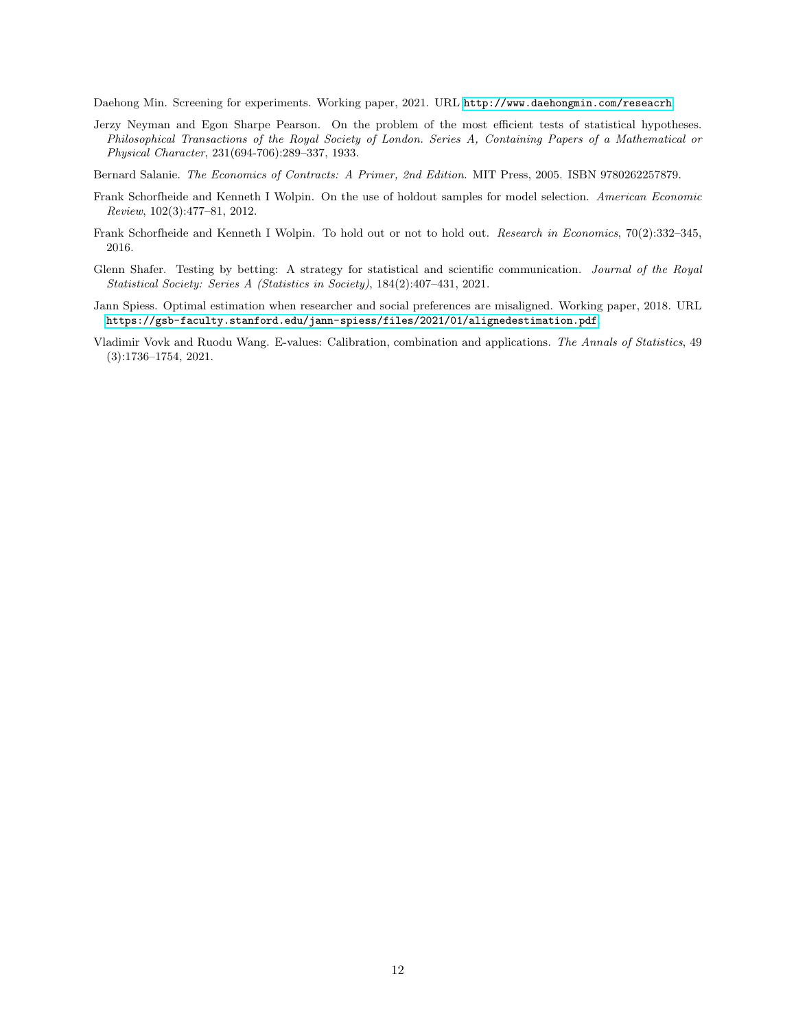<span id="page-11-4"></span>Daehong Min. Screening for experiments. Working paper, 2021. URL <http://www.daehongmin.com/reseacrh>.

<span id="page-11-7"></span>Jerzy Neyman and Egon Sharpe Pearson. On the problem of the most efficient tests of statistical hypotheses. Philosophical Transactions of the Royal Society of London. Series A, Containing Papers of a Mathematical or Physical Character, 231(694-706):289–337, 1933.

<span id="page-11-0"></span>Bernard Salanie. The Economics of Contracts: A Primer, 2nd Edition. MIT Press, 2005. ISBN 9780262257879.

- <span id="page-11-1"></span>Frank Schorfheide and Kenneth I Wolpin. On the use of holdout samples for model selection. American Economic Review, 102(3):477–81, 2012.
- <span id="page-11-2"></span>Frank Schorfheide and Kenneth I Wolpin. To hold out or not to hold out. Research in Economics, 70(2):332–345, 2016.
- <span id="page-11-5"></span>Glenn Shafer. Testing by betting: A strategy for statistical and scientific communication. Journal of the Royal Statistical Society: Series A (Statistics in Society), 184(2):407–431, 2021.
- <span id="page-11-3"></span>Jann Spiess. Optimal estimation when researcher and social preferences are misaligned. Working paper, 2018. URL <https://gsb-faculty.stanford.edu/jann-spiess/files/2021/01/alignedestimation.pdf>.
- <span id="page-11-6"></span>Vladimir Vovk and Ruodu Wang. E-values: Calibration, combination and applications. The Annals of Statistics, 49 (3):1736–1754, 2021.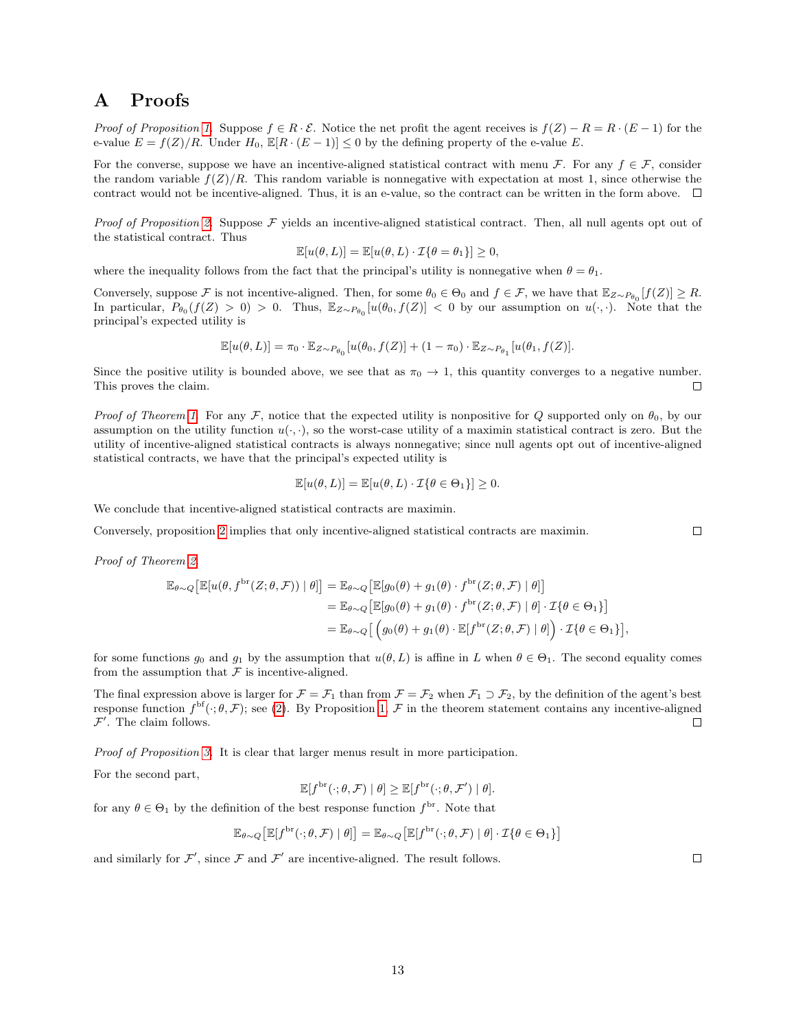## A Proofs

Proof of Proposition [1.](#page-3-2) Suppose  $f \in R \cdot \mathcal{E}$ . Notice the net profit the agent receives is  $f(Z) - R = R \cdot (E - 1)$  for the e-value  $E = f(Z)/R$ . Under  $H_0$ ,  $\mathbb{E}[R \cdot (E-1)] \leq 0$  by the defining property of the e-value E.

For the converse, suppose we have an incentive-aligned statistical contract with menu F. For any  $f \in \mathcal{F}$ , consider the random variable  $f(Z)/R$ . This random variable is nonnegative with expectation at most 1, since otherwise the contract would not be incentive-aligned. Thus, it is an e-value, so the contract can be written in the form above.  $\Box$ 

*Proof of Proposition [2.](#page-4-1)* Suppose  $F$  yields an incentive-aligned statistical contract. Then, all null agents opt out of the statistical contract. Thus

$$
\mathbb{E}[u(\theta, L)] = \mathbb{E}[u(\theta, L) \cdot \mathcal{I}\{\theta = \theta_1\}] \ge 0,
$$

where the inequality follows from the fact that the principal's utility is nonnegative when  $\theta = \theta_1$ .

Conversely, suppose F is not incentive-aligned. Then, for some  $\theta_0 \in \Theta_0$  and  $f \in \mathcal{F}$ , we have that  $\mathbb{E}_{Z \sim P_{\theta_0}}[f(Z)] \geq R$ . In particular,  $P_{\theta_0}(f(Z) > 0) > 0$ . Thus,  $\mathbb{E}_{Z \sim P_{\theta_0}}[u(\theta_0, f(Z)] < 0$  by our assumption on  $u(\cdot, \cdot)$ . Note that the principal's expected utility is

$$
\mathbb{E}[u(\theta,L)] = \pi_0 \cdot \mathbb{E}_{Z \sim P_{\theta_0}}[u(\theta_0,f(Z)] + (1-\pi_0) \cdot \mathbb{E}_{Z \sim P_{\theta_1}}[u(\theta_1,f(Z)].
$$

Since the positive utility is bounded above, we see that as  $\pi_0 \to 1$ , this quantity converges to a negative number. This proves the claim.  $\Box$ 

Proof of Theorem [1.](#page-4-0) For any F, notice that the expected utility is nonpositive for Q supported only on  $\theta_0$ , by our assumption on the utility function  $u(\cdot, \cdot)$ , so the worst-case utility of a maximin statistical contract is zero. But the utility of incentive-aligned statistical contracts is always nonnegative; since null agents opt out of incentive-aligned statistical contracts, we have that the principal's expected utility is

$$
\mathbb{E}[u(\theta, L)] = \mathbb{E}[u(\theta, L) \cdot \mathcal{I}\{\theta \in \Theta_1\}] \ge 0.
$$

We conclude that incentive-aligned statistical contracts are maximin.

Conversely, proposition [2](#page-4-1) implies that only incentive-aligned statistical contracts are maximin.

Proof of Theorem [2.](#page-4-2)

$$
\mathbb{E}_{\theta \sim Q} \left[ \mathbb{E} [u(\theta, f^{\text{br}}(Z; \theta, \mathcal{F})) | \theta] \right] = \mathbb{E}_{\theta \sim Q} \left[ \mathbb{E} [g_0(\theta) + g_1(\theta) \cdot f^{\text{br}}(Z; \theta, \mathcal{F}) | \theta] \right]
$$
  
\n
$$
= \mathbb{E}_{\theta \sim Q} \left[ \mathbb{E} [g_0(\theta) + g_1(\theta) \cdot f^{\text{br}}(Z; \theta, \mathcal{F}) | \theta] \cdot \mathcal{I} \{ \theta \in \Theta_1 \} \right]
$$
  
\n
$$
= \mathbb{E}_{\theta \sim Q} \left[ \left( g_0(\theta) + g_1(\theta) \cdot \mathbb{E} [f^{\text{br}}(Z; \theta, \mathcal{F}) | \theta] \right) \cdot \mathcal{I} \{ \theta \in \Theta_1 \} \right],
$$

for some functions  $g_0$  and  $g_1$  by the assumption that  $u(\theta, L)$  is affine in L when  $\theta \in \Theta_1$ . The second equality comes from the assumption that  $\mathcal F$  is incentive-aligned.

The final expression above is larger for  $\mathcal{F} = \mathcal{F}_1$  than from  $\mathcal{F} = \mathcal{F}_2$  when  $\mathcal{F}_1 \supset \mathcal{F}_2$ , by the definition of the agent's best response function  $f^{\text{bf}}(\cdot;\theta,\mathcal{F})$ ; see [\(2\)](#page-2-0). By Proposition [1,](#page-3-2)  $\mathcal F$  in the theorem statement contains any incentive-aligned  $\mathcal{F}'$ . The claim follows.  $\Box$ 

Proof of Proposition [3.](#page-5-1) It is clear that larger menus result in more participation.

For the second part,

$$
\mathbb{E}[f^{\text{br}}(\cdot;\theta,\mathcal{F}) \mid \theta] \geq \mathbb{E}[f^{\text{br}}(\cdot;\theta,\mathcal{F}') \mid \theta].
$$

for any  $\theta \in \Theta_1$  by the definition of the best response function  $f^{\text{br}}$ . Note that

$$
\mathbb{E}_{\theta \sim Q} \left[ \mathbb{E} [f^{\text{br}}(\cdot; \theta, \mathcal{F}) | \theta] \right] = \mathbb{E}_{\theta \sim Q} \left[ \mathbb{E} [f^{\text{br}}(\cdot; \theta, \mathcal{F}) | \theta] \cdot \mathcal{I} \{ \theta \in \Theta_1 \} \right]
$$

and similarly for  $\mathcal{F}'$ , since  $\mathcal F$  and  $\mathcal F'$  are incentive-aligned. The result follows.

 $\Box$ 

 $\Box$